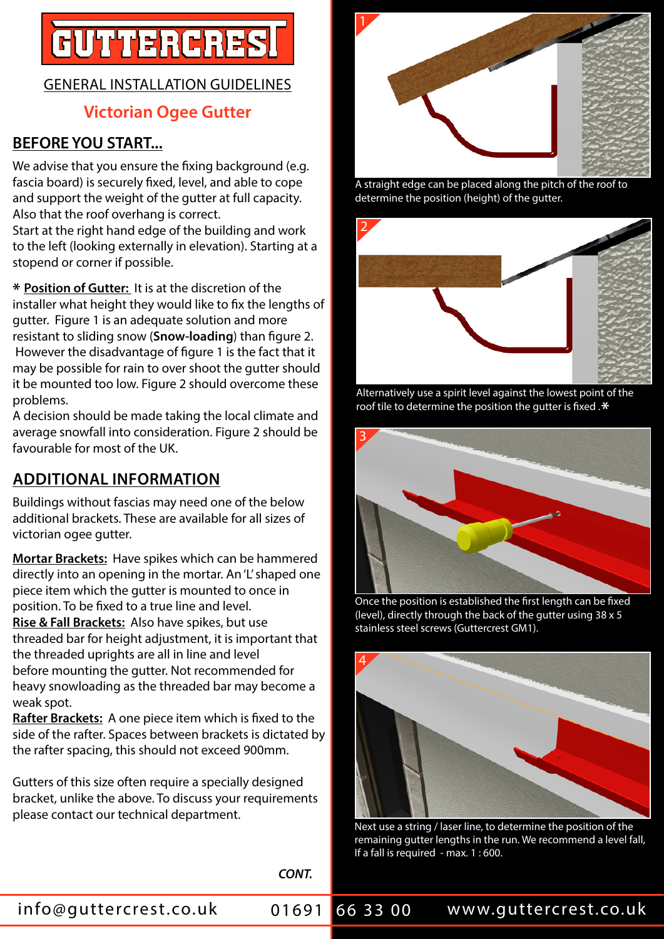# **FUTTERCRES**

#### GENERAL INSTALLATION GUIDELINES

#### **Victorian Ogee Gutter**

#### **BEFORE YOU START...**

We advise that you ensure the fixing background (e.g. fascia board) is securely fixed, level, and able to cope and support the weight of the gutter at full capacity. Also that the roof overhang is correct.

Start at the right hand edge of the building and work to the left (looking externally in elevation). Starting at a stopend or corner if possible.

**\* Position of Gutter:** It is at the discretion of the installer what height they would like to fix the lengths of gutter. Figure 1 is an adequate solution and more resistant to sliding snow (**Snow-loading**) than figure 2. However the disadvantage of figure 1 is the fact that it may be possible for rain to over shoot the gutter should it be mounted too low. Figure 2 should overcome these problems.

A decision should be made taking the local climate and average snowfall into consideration. Figure 2 should be favourable for most of the UK.

## **ADDITIONAL INFORMATION**

Buildings without fascias may need one of the below additional brackets. These are available for all sizes of victorian ogee gutter.

**Mortar Brackets:** Have spikes which can be hammered directly into an opening in the mortar. An 'L' shaped one piece item which the gutter is mounted to once in position. To be fixed to a true line and level. **Rise & Fall Brackets:** Also have spikes, but use threaded bar for height adjustment, it is important that the threaded uprights are all in line and level before mounting the gutter. Not recommended for heavy snowloading as the threaded bar may become a weak spot.

**Rafter Brackets:** A one piece item which is fixed to the side of the rafter. Spaces between brackets is dictated by the rafter spacing, this should not exceed 900mm.

Gutters of this size often require a specially designed bracket, unlike the above. To discuss your requirements please contact our technical department.



A straight edge can be placed along the pitch of the roof to determine the position (height) of the gutter.



Alternatively use a spirit level against the lowest point of the roof tile to determine the position the gutter is fixed .**\***



Once the position is established the first length can be fixed (level), directly through the back of the gutter using 38 x 5 stainless steel screws (Guttercrest GM1).



Next use a string / laser line, to determine the position of the remaining gutter lengths in the run. We recommend a level fall, If a fall is required - max. 1 : 600.

*CONT.*